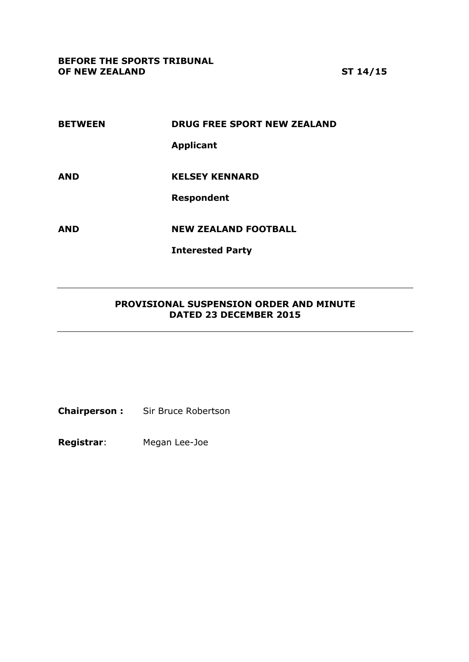**BEFORE THE SPORTS TRIBUNAL OF NEW ZEALAND ST 14/15**

| <b>BETWEEN</b> | <b>DRUG FREE SPORT NEW ZEALAND</b><br><b>Applicant</b> |
|----------------|--------------------------------------------------------|
| <b>AND</b>     | <b>KELSEY KENNARD</b><br><b>Respondent</b>             |
| <b>AND</b>     | <b>NEW ZEALAND FOOTBALL</b><br><b>Interested Party</b> |

## **PROVISIONAL SUSPENSION ORDER AND MINUTE DATED 23 DECEMBER 2015**

**Chairperson :** Sir Bruce Robertson

**Registrar**: Megan Lee-Joe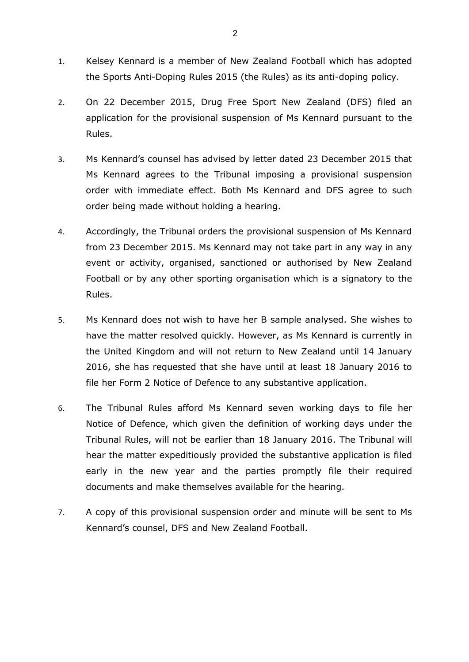- 1. Kelsey Kennard is a member of New Zealand Football which has adopted the Sports Anti-Doping Rules 2015 (the Rules) as its anti-doping policy.
- 2. On 22 December 2015, Drug Free Sport New Zealand (DFS) filed an application for the provisional suspension of Ms Kennard pursuant to the Rules.
- 3. Ms Kennard's counsel has advised by letter dated 23 December 2015 that Ms Kennard agrees to the Tribunal imposing a provisional suspension order with immediate effect. Both Ms Kennard and DFS agree to such order being made without holding a hearing.
- 4. Accordingly, the Tribunal orders the provisional suspension of Ms Kennard from 23 December 2015. Ms Kennard may not take part in any way in any event or activity, organised, sanctioned or authorised by New Zealand Football or by any other sporting organisation which is a signatory to the Rules.
- 5. Ms Kennard does not wish to have her B sample analysed. She wishes to have the matter resolved quickly. However, as Ms Kennard is currently in the United Kingdom and will not return to New Zealand until 14 January 2016, she has requested that she have until at least 18 January 2016 to file her Form 2 Notice of Defence to any substantive application.
- 6. The Tribunal Rules afford Ms Kennard seven working days to file her Notice of Defence, which given the definition of working days under the Tribunal Rules, will not be earlier than 18 January 2016. The Tribunal will hear the matter expeditiously provided the substantive application is filed early in the new year and the parties promptly file their required documents and make themselves available for the hearing.
- 7. A copy of this provisional suspension order and minute will be sent to Ms Kennard's counsel, DFS and New Zealand Football.